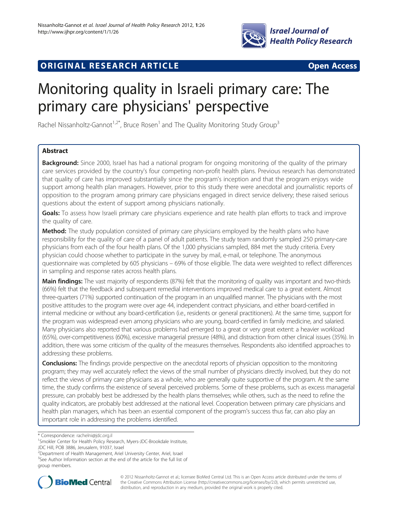

# **ORIGINAL RESEARCH ARTICLE CONSUMING ACCESS**

# Monitoring quality in Israeli primary care: The primary care physicians' perspective

Rachel Nissanholtz-Gannot<sup>1,2\*</sup>, Bruce Rosen<sup>1</sup> and The Quality Monitoring Study Group<sup>3</sup>

## Abstract

**Background:** Since 2000, Israel has had a national program for ongoing monitoring of the quality of the primary care services provided by the country's four competing non-profit health plans. Previous research has demonstrated that quality of care has improved substantially since the program's inception and that the program enjoys wide support among health plan managers. However, prior to this study there were anecdotal and journalistic reports of opposition to the program among primary care physicians engaged in direct service delivery; these raised serious questions about the extent of support among physicians nationally.

Goals: To assess how Israeli primary care physicians experience and rate health plan efforts to track and improve the quality of care.

**Method:** The study population consisted of primary care physicians employed by the health plans who have responsibility for the quality of care of a panel of adult patients. The study team randomly sampled 250 primary-care physicians from each of the four health plans. Of the 1,000 physicians sampled, 884 met the study criteria. Every physician could choose whether to participate in the survey by mail, e-mail, or telephone. The anonymous questionnaire was completed by 605 physicians – 69% of those eligible. The data were weighted to reflect differences in sampling and response rates across health plans.

Main findings: The vast majority of respondents (87%) felt that the monitoring of quality was important and two-thirds (66%) felt that the feedback and subsequent remedial interventions improved medical care to a great extent. Almost three-quarters (71%) supported continuation of the program in an unqualified manner. The physicians with the most positive attitudes to the program were over age 44, independent contract physicians, and either board-certified in internal medicine or without any board-certification (i.e., residents or general practitioners). At the same time, support for the program was widespread even among physicians who are young, board-certified in family medicine, and salaried. Many physicians also reported that various problems had emerged to a great or very great extent: a heavier workload (65%), over-competitiveness (60%), excessive managerial pressure (48%), and distraction from other clinical issues (35%). In addition, there was some criticism of the quality of the measures themselves. Respondents also identified approaches to addressing these problems.

**Conclusions:** The findings provide perspective on the anecdotal reports of physician opposition to the monitoring program; they may well accurately reflect the views of the small number of physicians directly involved, but they do not reflect the views of primary care physicians as a whole, who are generally quite supportive of the program. At the same time, the study confirms the existence of several perceived problems. Some of these problems, such as excess managerial pressure, can probably best be addressed by the health plans themselves; while others, such as the need to refine the quality indicators, are probably best addressed at the national level. Cooperation between primary care physicians and health plan managers, which has been an essential component of the program's success thus far, can also play an important role in addressing the problems identified.

Correspondence: [rachelni@jdc.org.il](mailto:rachelni@jdc.org.il)

<sup>2</sup>Department of Health Management, Ariel University Center, Ariel, Israel <sup>3</sup>See Author Information section at the end of the article for the full list of group members.



© 2012 Nissanholtz-Gannot et al.; licensee BioMed Central Ltd. This is an Open Access article distributed under the terms of the Creative Commons Attribution License [\(http://creativecommons.org/licenses/by/2.0\)](http://creativecommons.org/licenses/by/2.0), which permits unrestricted use, distribution, and reproduction in any medium, provided the original work is properly cited.

<sup>&</sup>lt;sup>1</sup>Smokler Center for Health Policy Research, Myers-JDC-Brookdale Institute, JDC Hill, POB 3886, Jerusalem, 91037, Israel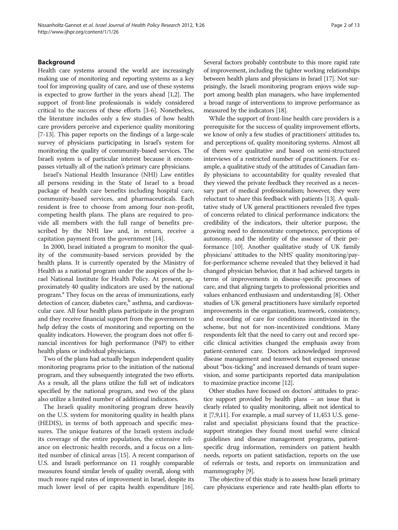#### Background

Health care systems around the world are increasingly making use of monitoring and reporting systems as a key tool for improving quality of care, and use of these systems is expected to grow further in the years ahead [\[1,](#page-11-0)[2\]](#page-12-0). The support of front-line professionals is widely considered critical to the success of these efforts [[3](#page-12-0)-[6\]](#page-12-0). Nonetheless, the literature includes only a few studies of how health care providers perceive and experience quality monitoring [[7-13\]](#page-12-0). This paper reports on the findings of a large-scale survey of physicians participating in Israel's system for monitoring the quality of community-based services. The Israeli system is of particular interest because it encompasses virtually all of the nation's primary care physicians.

Israel's National Health Insurance (NHI) Law entitles all persons residing in the State of Israel to a broad package of health care benefits including hospital care, community-based services, and pharmaceuticals. Each resident is free to choose from among four non-profit, competing health plans. The plans are required to provide all members with the full range of benefits prescribed by the NHI law and, in return, receive a capitation payment from the government [[14\]](#page-12-0).

In 2000, Israel initiated a program to monitor the quality of the community-based services provided by the health plans. It is currently operated by the Ministry of Health as a national program under the auspices of the Israel National Institute for Health Policy. At present, approximately 40 quality indicators are used by the national program.<sup>a</sup> They focus on the areas of immunizations, early detection of cancer, diabetes care, $<sup>b</sup>$  asthma, and cardiovas-</sup> cular care. All four health plans participate in the program and they receive financial support from the government to help defray the costs of monitoring and reporting on the quality indicators. However, the program does not offer financial incentives for high performance (P4P) to either health plans or individual physicians.

Two of the plans had actually begun independent quality monitoring programs prior to the initiation of the national program, and they subsequently integrated the two efforts. As a result, all the plans utilize the full set of indicators specified by the national program, and two of the plans also utilize a limited number of additional indicators.

The Israeli quality monitoring program drew heavily on the U.S. system for monitoring quality in health plans (HEDIS), in terms of both approach and specific measures. The unique features of the Israeli system include its coverage of the entire population, the extensive reliance on electronic health records, and a focus on a limited number of clinical areas [[15](#page-12-0)]. A recent comparison of U.S. and Israeli performance on 11 roughly comparable measures found similar levels of quality overall, along with much more rapid rates of improvement in Israel, despite its much lower level of per capita health expenditure [\[16](#page-12-0)]. Several factors probably contribute to this more rapid rate of improvement, including the tighter working relationships between health plans and physicians in Israel [[17](#page-12-0)]. Not surprisingly, the Israeli monitoring program enjoys wide support among health plan managers, who have implemented a broad range of interventions to improve performance as measured by the indicators [\[18\]](#page-12-0).

While the support of front-line health care providers is a prerequisite for the success of quality improvement efforts, we know of only a few studies of practitioners' attitudes to, and perceptions of, quality monitoring systems. Almost all of them were qualitative and based on semi-structured interviews of a restricted number of practitioners. For example, a qualitative study of the attitudes of Canadian family physicians to accountability for quality revealed that they viewed the private feedback they received as a necessary part of medical professionalism; however, they were reluctant to share this feedback with patients [[13](#page-12-0)]. A qualitative study of UK general practitioners revealed five types of concerns related to clinical performance indicators: the credibility of the indicators, their ulterior purpose, the growing need to demonstrate competence, perceptions of autonomy, and the identity of the assessor of their performance [[10](#page-12-0)]. Another qualitative study of UK family physicians' attitudes to the NHS' quality monitoring/payfor-performance scheme revealed that they believed it had changed physician behavior, that it had achieved targets in terms of improvements in disease-specific processes of care, and that aligning targets to professional priorities and values enhanced enthusiasm and understanding [\[8\]](#page-12-0). Other studies of UK general practitioners have similarly reported improvements in the organization, teamwork, consistency, and recording of care for conditions incentivized in the scheme, but not for non-incentivized conditions. Many respondents felt that the need to carry out and record specific clinical activities changed the emphasis away from patient-centered care. Doctors acknowledged improved disease management and teamwork but expressed unease about "box-ticking" and increased demands of team supervision, and some participants reported data manipulation to maximize practice income [[12](#page-12-0)].

Other studies have focused on doctors' attitudes to practice support provided by health plans – an issue that is clearly related to quality monitoring, albeit not identical to it [\[7,9,11\]](#page-12-0). For example, a mail survey of 11,453 U.S. generalist and specialist physicians found that the practicesupport strategies they found most useful were clinical guidelines and disease management programs, patientspecific drug information, reminders on patient health needs, reports on patient satisfaction, reports on the use of referrals or tests, and reports on immunization and mammography [\[9](#page-12-0)].

The objective of this study is to assess how Israeli primary care physicians experience and rate health-plan efforts to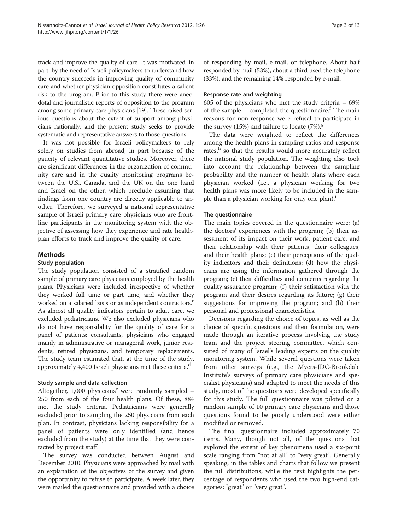track and improve the quality of care. It was motivated, in part, by the need of Israeli policymakers to understand how the country succeeds in improving quality of community care and whether physician opposition constitutes a salient risk to the program. Prior to this study there were anecdotal and journalistic reports of opposition to the program among some primary care physicians [\[19\]](#page-12-0). These raised serious questions about the extent of support among physicians nationally, and the present study seeks to provide systematic and representative answers to those questions.

It was not possible for Israeli policymakers to rely solely on studies from abroad, in part because of the paucity of relevant quantitative studies. Moreover, there are significant differences in the organization of community care and in the quality monitoring programs between the U.S., Canada, and the UK on the one hand and Israel on the other, which preclude assuming that findings from one country are directly applicable to another. Therefore, we surveyed a national representative sample of Israeli primary care physicians who are frontline participants in the monitoring system with the objective of assessing how they experience and rate healthplan efforts to track and improve the quality of care.

#### Methods

#### Study population

The study population consisted of a stratified random sample of primary care physicians employed by the health plans. Physicians were included irrespective of whether they worked full time or part time, and whether they worked on a salaried basis or as independent contractors.<sup>c</sup> As almost all quality indicators pertain to adult care, we excluded pediatricians. We also excluded physicians who do not have responsibility for the quality of care for a panel of patients: consultants, physicians who engaged mainly in administrative or managerial work, junior residents, retired physicians, and temporary replacements. The study team estimated that, at the time of the study, approximately 4,400 Israeli physicians met these criteria.<sup>d</sup>

#### Study sample and data collection

Altogether, 1,000 physicians<sup>e</sup> were randomly sampled  $-$ 250 from each of the four health plans. Of these, 884 met the study criteria. Pediatricians were generally excluded prior to sampling the 250 physicians from each plan. In contrast, physicians lacking responsibility for a panel of patients were only identified (and hence excluded from the study) at the time that they were contacted by project staff.

The survey was conducted between August and December 2010. Physicians were approached by mail with an explanation of the objectives of the survey and given the opportunity to refuse to participate. A week later, they were mailed the questionnaire and provided with a choice

#### Response rate and weighting

605 of the physicians who met the study criteria – 69% of the sample – completed the questionnaire.<sup> $\text{f}$ </sup> The main reasons for non-response were refusal to participate in the survey (15%) and failure to locate  $(7\%)$ .<sup>g</sup>

The data were weighted to reflect the differences among the health plans in sampling ratios and response rates, $h$  so that the results would more accurately reflect the national study population. The weighting also took into account the relationship between the sampling probability and the number of health plans where each physician worked (i.e., a physician working for two health plans was more likely to be included in the sample than a physician working for only one plan).<sup>i</sup>

#### The questionnaire

The main topics covered in the questionnaire were: (a) the doctors' experiences with the program; (b) their assessment of its impact on their work, patient care, and their relationship with their patients, their colleagues, and their health plans; (c) their perceptions of the quality indicators and their definitions; (d) how the physicians are using the information gathered through the program; (e) their difficulties and concerns regarding the quality assurance program; (f) their satisfaction with the program and their desires regarding its future; (g) their suggestions for improving the program; and (h) their personal and professional characteristics.

Decisions regarding the choice of topics, as well as the choice of specific questions and their formulation, were made through an iterative process involving the study team and the project steering committee, which consisted of many of Israel's leading experts on the quality monitoring system. While several questions were taken from other surveys (e.g., the Myers-JDC-Brookdale Institute's surveys of primary care physicians and specialist physicians) and adapted to meet the needs of this study, most of the questions were developed specifically for this study. The full questionnaire was piloted on a random sample of 10 primary care physicians and those questions found to be poorly understood were either modified or removed.

The final questionnaire included approximately 70 items. Many, though not all, of the questions that explored the extent of key phenomena used a six-point scale ranging from "not at all" to "very great". Generally speaking, in the tables and charts that follow we present the full distributions, while the text highlights the percentage of respondents who used the two high-end categories: "great" or "very great".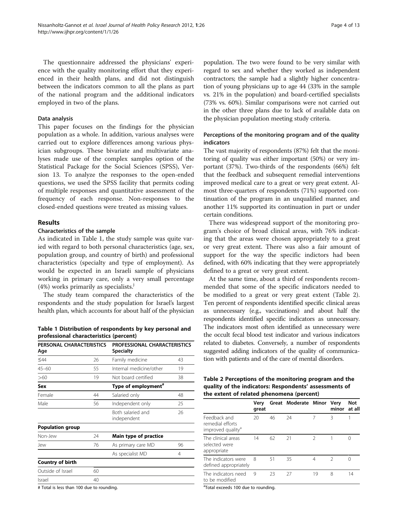<span id="page-3-0"></span>The questionnaire addressed the physicians' experience with the quality monitoring effort that they experienced in their health plans, and did not distinguish between the indicators common to all the plans as part of the national program and the additional indicators employed in two of the plans.

#### Data analysis

This paper focuses on the findings for the physician population as a whole. In addition, various analyses were carried out to explore differences among various physician subgroups. These bivariate and multivariate analyses made use of the complex samples option of the Statistical Package for the Social Sciences (SPSS), Version 13. To analyze the responses to the open-ended questions, we used the SPSS facility that permits coding of multiple responses and quantitative assessment of the frequency of each response. Non-responses to the closed-ended questions were treated as missing values.

### Results

#### Characteristics of the sample

As indicated in Table 1, the study sample was quite varied with regard to both personal characteristics (age, sex, population group, and country of birth) and professional characteristics (specialty and type of employment). As would be expected in an Israeli sample of physicians working in primary care, only a very small percentage  $(4%)$  works primarily as specialists.<sup>j</sup>

The study team compared the characteristics of the respondents and the study population for Israel's largest health plan, which accounts for about half of the physician

| Table 1 Distribution of respondents by key personal and |  |
|---------------------------------------------------------|--|
| professional characteristics (percent)                  |  |

| PERSONAL CHARACTERISTICS<br>Age    |    | PROFESSIONAL CHARACTERISTICS<br><b>Specialty</b> |    |  |
|------------------------------------|----|--------------------------------------------------|----|--|
| $\leq 44$                          | 26 | Family medicine                                  | 43 |  |
| $45 - 60$                          | 55 | Internal medicine/other                          | 19 |  |
| >60                                | 19 | Not board certified                              | 38 |  |
| Sex                                |    | Type of employment <sup>#</sup>                  |    |  |
| Female                             | 44 | Salaried only                                    | 48 |  |
| Male                               | 56 | Independent only                                 | 25 |  |
|                                    |    | Both salaried and<br>independent                 | 26 |  |
| <b>Population group</b>            |    |                                                  |    |  |
| Non-Jew                            | 24 | Main type of practice                            |    |  |
| Jew                                | 76 | As primary care MD                               | 96 |  |
|                                    |    | As specialist MD                                 | 4  |  |
| <b>Country of birth</b>            |    |                                                  |    |  |
| Outside of Israel                  | 60 |                                                  |    |  |
| Israel                             | 40 |                                                  |    |  |
| $\sim$ $\sim$ $\sim$ $\sim$ $\sim$ |    |                                                  |    |  |

# Total is less than 100 due to rounding.

population. The two were found to be very similar with regard to sex and whether they worked as independent contractors; the sample had a slightly higher concentration of young physicians up to age 44 (33% in the sample vs. 21% in the population) and board-certified specialists (73% vs. 60%). Similar comparisons were not carried out in the other three plans due to lack of available data on the physician population meeting study criteria.

### Perceptions of the monitoring program and of the quality indicators

The vast majority of respondents (87%) felt that the monitoring of quality was either important (50%) or very important (37%). Two-thirds of the respondents (66%) felt that the feedback and subsequent remedial interventions improved medical care to a great or very great extent. Almost three-quarters of respondents (71%) supported continuation of the program in an unqualified manner, and another 11% supported its continuation in part or under certain conditions.

There was widespread support of the monitoring program's choice of broad clinical areas, with 76% indicating that the areas were chosen appropriately to a great or very great extent. There was also a fair amount of support for the way the specific indictors had been defined, with 60% indicating that they were appropriately defined to a great or very great extent.

At the same time, about a third of respondents recommended that some of the specific indicators needed to be modified to a great or very great extent (Table 2). Ten percent of respondents identified specific clinical areas as unnecessary (e.g., vaccinations) and about half the respondents identified specific indicators as unnecessary. The indicators most often identified as unnecessary were the occult fecal blood test indicator and various indicators related to diabetes. Conversely, a number of respondents suggested adding indicators of the quality of communication with patients and of the care of mental disorders.

| Table 2 Perceptions of the monitoring program and the  |
|--------------------------------------------------------|
| quality of the indicators: Respondents' assessments of |
| the extent of related phenomena (percent)              |

|                                                                   | Very<br>great |    | Great Moderate Minor Very |               | minor         | <b>Not</b><br>at all |
|-------------------------------------------------------------------|---------------|----|---------------------------|---------------|---------------|----------------------|
| Feedback and<br>remedial efforts<br>improved quality <sup>a</sup> | 20            | 46 | 24                        |               | ξ             |                      |
| The clinical areas<br>selected were<br>appropriate                | 14            | 62 | 21                        | $\mathcal{D}$ |               |                      |
| The indicators were<br>defined appropriately                      | 8             | 51 | 35                        | 4             | $\mathcal{L}$ |                      |
| The indicators need<br>to be modified                             | 9             | 23 | 27                        | 19            | 8             | 14                   |

<sup>a</sup>Total exceeds 100 due to rounding.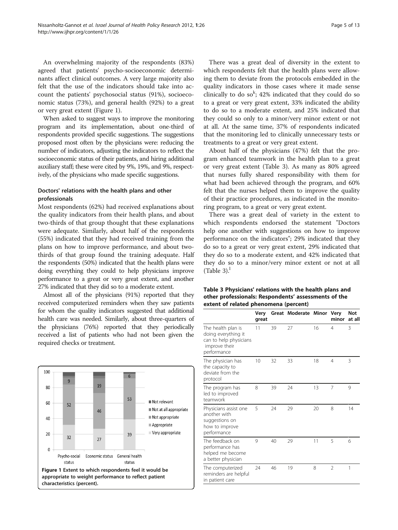An overwhelming majority of the respondents (83%) agreed that patients' psycho-socioeconomic determinants affect clinical outcomes. A very large majority also felt that the use of the indicators should take into account the patients' psychosocial status (91%), socioeconomic status (73%), and general health (92%) to a great or very great extent (Figure 1).

When asked to suggest ways to improve the monitoring program and its implementation, about one-third of respondents provided specific suggestions. The suggestions proposed most often by the physicians were: reducing the number of indicators, adjusting the indicators to reflect the socioeconomic status of their patients, and hiring additional auxiliary staff; these were cited by 9%, 19%, and 9%, respectively, of the physicians who made specific suggestions.

#### Doctors' relations with the health plans and other professionals

Most respondents (62%) had received explanations about the quality indicators from their health plans, and about two-thirds of that group thought that these explanations were adequate. Similarly, about half of the respondents (55%) indicated that they had received training from the plans on how to improve performance, and about twothirds of that group found the training adequate. Half the respondents (50%) indicated that the health plans were doing everything they could to help physicians improve performance to a great or very great extent, and another 27% indicated that they did so to a moderate extent.

Almost all of the physicians (91%) reported that they received computerized reminders when they saw patients for whom the quality indicators suggested that additional health care was needed. Similarly, about three-quarters of the physicians (76%) reported that they periodically received a list of patients who had not been given the required checks or treatment.



There was a great deal of diversity in the extent to which respondents felt that the health plans were allowing them to deviate from the protocols embedded in the quality indicators in those cases where it made sense clinically to do so<sup>k</sup>; 42% indicated that they could do so to a great or very great extent, 33% indicated the ability to do so to a moderate extent, and 25% indicated that they could so only to a minor/very minor extent or not at all. At the same time, 37% of respondents indicated that the monitoring led to clinically unnecessary tests or treatments to a great or very great extent.

About half of the physicians (47%) felt that the program enhanced teamwork in the health plan to a great or very great extent (Table 3). As many as 80% agreed that nurses fully shared responsibility with them for what had been achieved through the program, and 60% felt that the nurses helped them to improve the quality of their practice procedures, as indicated in the monitoring program, to a great or very great extent.

There was a great deal of variety in the extent to which respondents endorsed the statement "Doctors help one another with suggestions on how to improve performance on the indicators"; 29% indicated that they do so to a great or very great extent, 29% indicated that they do so to a moderate extent, and 42% indicated that they do so to a minor/very minor extent or not at all  $(Table 3).<sup>1</sup>$ 

#### Table 3 Physicians' relations with the health plans and other professionals: Respondents' assessments of the extent of related phenomena (percent)

|                                                                                                     | Very<br>great |    | Great Moderate Minor |    | Very<br>minor | Not<br>at all |
|-----------------------------------------------------------------------------------------------------|---------------|----|----------------------|----|---------------|---------------|
| The health plan is<br>doing everything it<br>can to help physicians<br>improve their<br>performance | 11            | 39 | 27                   | 16 | 4             | 3             |
| The physician has<br>the capacity to<br>deviate from the<br>protocol                                | 10            | 32 | 33                   | 18 | 4             | 3             |
| The program has<br>led to improved<br>teamwork                                                      | 8             | 39 | 24                   | 13 | 7             | 9             |
| Physicians assist one<br>another with<br>suggestions on<br>how to improve<br>performance            | 5             | 24 | 29                   | 20 | 8             | 14            |
| The feedback on<br>performance has<br>helped me become<br>a better physician                        | 9             | 40 | 29                   | 11 | 5             | 6             |
| The computerized<br>reminders are helpful<br>in patient care                                        | 24            | 46 | 19                   | 8  | 2             | 1             |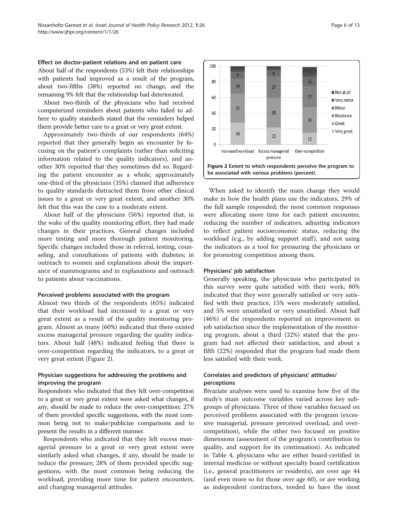#### Effect on doctor-patient relations and on patient care

About half of the respondents (53%) felt their relationships with patients had improved as a result of the program, about two-fifths (38%) reported no change, and the remaining 9% felt that the relationship had deteriorated.

About two-thirds of the physicians who had received computerized reminders about patients who failed to adhere to quality standards stated that the reminders helped them provide better care to a great or very great extent.

Approximately two-thirds of our respondents (64%) reported that they generally begin an encounter by focusing on the patient's complaints (rather than soliciting information related to the quality indicators), and another 30% reported that they sometimes did so. Regarding the patient encounter as a whole, approximately one-third of the physicians (35%) claimed that adherence to quality standards distracted them from other clinical issues to a great or very great extent, and another 30% felt that this was the case to a moderate extent.

About half of the physicians (56%) reported that, in the wake of the quality monitoring effort, they had made changes in their practices. General changes included more testing and more thorough patient monitoring. Specific changes included those in referral, testing, counseling, and consultations of patients with diabetes; in outreach to women and explanations about the importance of mammograms; and in explanations and outreach to patients about vaccinations.

#### Perceived problems associated with the program

Almost two thirds of the respondents (65%) indicated that their workload had increased to a great or very great extent as a result of the quality monitoring program. Almost as many (60%) indicated that there existed excess managerial pressure regarding the quality indicators. About half (48%) indicated feeling that there is over-competition regarding the indicators, to a great or very great extent (Figure 2).

#### Physician suggestions for addressing the problems and improving the program

Respondents who indicated that they felt over-competition to a great or very great extent were asked what changes, if any, should be made to reduce the over-competition; 27% of them provided specific suggestions, with the most common being not to make/publicize comparisons and to present the results in a different manner.

Respondents who indicated that they felt excess managerial pressure to a great or very great extent were similarly asked what changes, if any, should be made to reduce the pressure; 28% of them provided specific suggestions, with the most common being reducing the workload, providing more time for patient encounters, and changing managerial attitudes.



When asked to identify the main change they would make in how the health plans use the indicators, 29% of the full sample responded; the most common responses were allocating more time for each patient encounter, reducing the number of indicators, adjusting indicators to reflect patient socioeconomic status, reducing the workload (e.g., by adding support staff), and not using the indicators as a tool for pressuring the physicians or for promoting competition among them.

#### Physicians' job satisfaction

Generally speaking, the physicians who participated in this survey were quite satisfied with their work; 80% indicated that they were generally satisfied or very satisfied with their practice, 15% were moderately satisfied, and 5% were unsatisfied or very unsatisfied. About half (46%) of the respondents reported an improvement in job satisfaction since the implementation of the monitoring program, about a third (32%) stated that the program had not affected their satisfaction, and about a fifth (22%) responded that the program had made them less satisfied with their work.

#### Correlates and predictors of physicians' attitudes/ perceptions

Bivariate analyses were used to examine how five of the study's main outcome variables varied across key subgroups of physicians. Three of these variables focused on perceived problems associated with the program (excessive managerial, pressure perceived overload, and overcompetition), while the other two focused on positive dimensions (assessment of the program's contribution to quality, and support for its continuation). As indicated in Table [4](#page-6-0), physicians who are either board-certified in internal medicine or without specialty board certification (i.e., general practitioners or residents), are over age 44 (and even more so for those over age 60), or are working as independent contractors, tended to have the most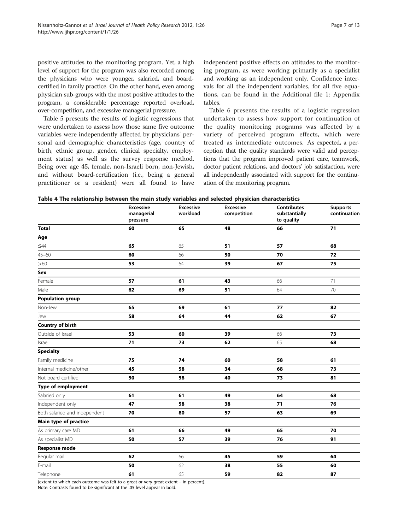<span id="page-6-0"></span>positive attitudes to the monitoring program. Yet, a high level of support for the program was also recorded among the physicians who were younger, salaried, and boardcertified in family practice. On the other hand, even among physician sub-groups with the most positive attitudes to the program, a considerable percentage reported overload, over-competition, and excessive managerial pressure.

Table [5](#page-7-0) presents the results of logistic regressions that were undertaken to assess how those same five outcome variables were independently affected by physicians' personal and demographic characteristics (age, country of birth, ethnic group, gender, clinical specialty, employment status) as well as the survey response method. Being over age 45, female, non-Israeli born, non-Jewish, and without board-certification (i.e., being a general practitioner or a resident) were all found to have independent positive effects on attitudes to the monitoring program, as were working primarily as a specialist and working as an independent only. Confidence intervals for all the independent variables, for all five equations, can be found in the [Additional file 1: Appendix](#page-11-0) [tables](#page-11-0).

Table [6](#page-7-0) presents the results of a logistic regression undertaken to assess how support for continuation of the quality monitoring programs was affected by a variety of perceived program effects, which were treated as intermediate outcomes. As expected, a perception that the quality standards were valid and perceptions that the program improved patient care, teamwork, doctor patient relations, and doctors' job satisfaction, were all independently associated with support for the continuation of the monitoring program.

|                               | <b>Excessive</b><br>managerial<br>pressure | <b>Excessive</b><br>workload | <b>Excessive</b><br>competition | <b>Contributes</b><br>substantially<br>to quality | <b>Supports</b><br>continuation |
|-------------------------------|--------------------------------------------|------------------------------|---------------------------------|---------------------------------------------------|---------------------------------|
| <b>Total</b>                  | 60                                         | 65                           | 48                              | 66                                                | 71                              |
| Age                           |                                            |                              |                                 |                                                   |                                 |
| $\leq$ 44                     | 65                                         | 65                           | 51                              | 57                                                | 68                              |
| $45 - 60$                     | 60                                         | 66                           | 50                              | 70                                                | 72                              |
| $>\!\!60$                     | 53                                         | 64                           | 39                              | 67                                                | 75                              |
| Sex                           |                                            |                              |                                 |                                                   |                                 |
| Female                        | 57                                         | 61                           | 43                              | 66                                                | 71                              |
| Male                          | 62                                         | 69                           | 51                              | 64                                                | 70                              |
| <b>Population group</b>       |                                            |                              |                                 |                                                   |                                 |
| Non-Jew                       | 65                                         | 69                           | 61                              | 77                                                | 82                              |
| Jew                           | 58                                         | 64                           | 44                              | 62                                                | 67                              |
| <b>Country of birth</b>       |                                            |                              |                                 |                                                   |                                 |
| Outside of Israel             | 53                                         | 60                           | 39                              | 66                                                | 73                              |
| Israel                        | 71                                         | 73                           | 62                              | 65                                                | 68                              |
| <b>Specialty</b>              |                                            |                              |                                 |                                                   |                                 |
| Family medicine               | 75                                         | 74                           | 60                              | 58                                                | 61                              |
| Internal medicine/other       | 45                                         | 58                           | 34                              | 68                                                | 73                              |
| Not board certified           | 50                                         | 58                           | 40                              | 73                                                | 81                              |
| <b>Type of employment</b>     |                                            |                              |                                 |                                                   |                                 |
| Salaried only                 | 61                                         | 61                           | 49                              | 64                                                | 68                              |
| Independent only              | 47                                         | 58                           | 38                              | 71                                                | 76                              |
| Both salaried and independent | 70                                         | 80                           | 57                              | 63                                                | 69                              |
| Main type of practice         |                                            |                              |                                 |                                                   |                                 |
| As primary care MD            | 61                                         | 66                           | 49                              | 65                                                | 70                              |
| As specialist MD              | 50                                         | 57                           | 39                              | 76                                                | 91                              |
| <b>Response mode</b>          |                                            |                              |                                 |                                                   |                                 |
| Regular mail                  | 62                                         | 66                           | 45                              | 59                                                | 64                              |
| E-mail                        | 50                                         | 62                           | 38                              | 55                                                | 60                              |
| Telephone                     | 61                                         | 65                           | 59                              | 82                                                | 87                              |

(extent to which each outcome was felt to a great or very great extent – in percent).

Note: Contrasts found to be significant at the .05 level appear in bold.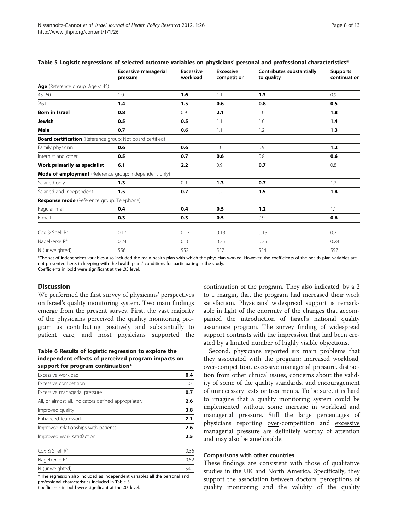|                                                                   | <b>Excessive managerial</b><br>pressure | <b>Excessive</b><br>workload | <b>Excessive</b><br>competition | Contributes substantially<br>to quality | <b>Supports</b><br>continuation |
|-------------------------------------------------------------------|-----------------------------------------|------------------------------|---------------------------------|-----------------------------------------|---------------------------------|
| Age (Reference group: $Age < 45$ )                                |                                         |                              |                                 |                                         |                                 |
| $45 - 60$                                                         | 1.0                                     | 1.6                          | 1.1                             | 1.3                                     | 0.9                             |
| $\geq 61$                                                         | 1.4                                     | 1.5                          | 0.6                             | 0.8                                     | 0.5                             |
| <b>Born in Israel</b>                                             | 0.8                                     | 0.9                          | 2.1                             | 1.0                                     | 1.8                             |
| Jewish                                                            | 0.5                                     | 0.5                          | 1.1                             | 1.0                                     | 1.4                             |
| Male                                                              | 0.7                                     | 0.6                          | 1.1                             | 1.2                                     | 1.3                             |
| <b>Board certification</b> (Reference group: Not board certified) |                                         |                              |                                 |                                         |                                 |
| Family physician                                                  | 0.6                                     | 0.6                          | 1.0                             | 0.9                                     | 1.2                             |
| Internist and other                                               | 0.5                                     | 0.7                          | 0.6                             | 0.8                                     | 0.6                             |
| Work primarily as specialist                                      | 6.1                                     | 2.2                          | 0.9                             | 0.7                                     | 0.8                             |
| Mode of employment (Reference group: Independent only)            |                                         |                              |                                 |                                         |                                 |
| Salaried only                                                     | 1.3                                     | 0.9                          | 1.3                             | 0.7                                     | 1.2                             |
| Salaried and independent                                          | 1.5                                     | 0.7                          | 1.2                             | 1.5                                     | 1.4                             |
| Response mode (Reference group: Telephone)                        |                                         |                              |                                 |                                         |                                 |
| Regular mail                                                      | 0.4                                     | 0.4                          | 0.5                             | 1.2                                     | 1.1                             |
| E-mail                                                            | 0.3                                     | 0.3                          | 0.5                             | 0.9                                     | 0.6                             |
| Cox & Snell $R^2$                                                 | 0.17                                    | 0.12                         | 0.18                            | 0.18                                    | 0.21                            |
| Nagelkerke R <sup>2</sup>                                         | 0.24                                    | 0.16                         | 0.25                            | 0.25                                    | 0.28                            |
| N (unweighted)                                                    | 556                                     | 552                          | 557                             | 554                                     | 557                             |

<span id="page-7-0"></span>Table 5 Logistic regressions of selected outcome variables on physicians' personal and professional characteristics\*

\*The set of independent variables also included the main health plan with which the physician worked. However, the coefficients of the health plan variables are not presented here, in keeping with the health plans' conditions for participating in the study.

Coefficients in bold were significant at the .05 level.

#### **Discussion**

We performed the first survey of physicians' perspectives on Israel's quality monitoring system. Two main findings emerge from the present survey. First, the vast majority of the physicians perceived the quality monitoring program as contributing positively and substantially to patient care, and most physicians supported the

#### Table 6 Results of logistic regression to explore the independent effects of perceived program impacts on support for program continuation\*

| Excessive workload                                   | 0.4  |
|------------------------------------------------------|------|
| Excessive competition                                | 1.0  |
| Excessive managerial pressure                        | 0.7  |
| All, or almost all, indicators defined appropriately | 2.6  |
| Improved quality                                     | 3.8  |
| Enhanced teamwork                                    | 2.1  |
| Improved relationships with patients                 | 2.6  |
| Improved work satisfaction                           | 2.5  |
| Cox & Snell $R^2$                                    | 0.36 |
| Nagelkerke R <sup>2</sup>                            | 0.52 |
|                                                      |      |

N (unweighted) 541 \* The regression also included as independent variables all the personal and

professional characteristics included in Table 5. Coefficients in bold were significant at the .05 level. continuation of the program. They also indicated, by a 2 to 1 margin, that the program had increased their work satisfaction. Physicians' widespread support is remarkable in light of the enormity of the changes that accompanied the introduction of Israel's national quality assurance program. The survey finding of widespread support contrasts with the impression that had been created by a limited number of highly visible objections.

Second, physicians reported six main problems that they associated with the program: increased workload, over-competition, excessive managerial pressure, distraction from other clinical issues, concerns about the validity of some of the quality standards, and encouragement of unnecessary tests or treatments. To be sure, it is hard to imagine that a quality monitoring system could be implemented without some increase in workload and managerial pressure. Still the large percentages of physicians reporting over-competition and excessive managerial pressure are definitely worthy of attention and may also be ameliorable.

#### Comparisons with other countries

These findings are consistent with those of qualitative studies in the UK and North America. Specifically, they support the association between doctors' perceptions of quality monitoring and the validity of the quality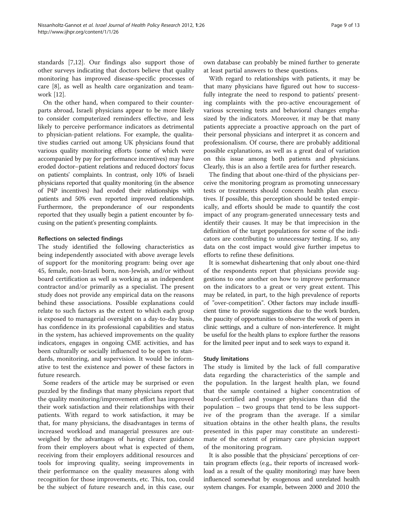standards [\[7,12\]](#page-12-0). Our findings also support those of other surveys indicating that doctors believe that quality monitoring has improved disease-specific processes of care [\[8\]](#page-12-0), as well as health care organization and teamwork [\[12](#page-12-0)].

On the other hand, when compared to their counterparts abroad, Israeli physicians appear to be more likely to consider computerized reminders effective, and less likely to perceive performance indicators as detrimental to physician-patient relations. For example, the qualitative studies carried out among UK physicians found that various quality monitoring efforts (some of which were accompanied by pay for performance incentives) may have eroded doctor–patient relations and reduced doctors' focus on patients' complaints. In contrast, only 10% of Israeli physicians reported that quality monitoring (in the absence of P4P incentives) had eroded their relationships with patients and 50% even reported improved relationships. Furthermore, the preponderance of our respondents reported that they usually begin a patient encounter by focusing on the patient's presenting complaints.

#### Reflections on selected findings

The study identified the following characteristics as being independently associated with above average levels of support for the monitoring program: being over age 45, female, non-Israeli born, non-Jewish, and/or without board certification as well as working as an independent contractor and/or primarily as a specialist. The present study does not provide any empirical data on the reasons behind these associations. Possible explanations could relate to such factors as the extent to which each group is exposed to managerial oversight on a day-to-day basis, has confidence in its professional capabilities and status in the system, has achieved improvements on the quality indicators, engages in ongoing CME activities, and has been culturally or socially influenced to be open to standards, monitoring, and supervision. It would be informative to test the existence and power of these factors in future research.

Some readers of the article may be surprised or even puzzled by the findings that many physicians report that the quality monitoring/improvement effort has improved their work satisfaction and their relationships with their patients. With regard to work satisfaction, it may be that, for many physicians, the disadvantages in terms of increased workload and managerial pressures are outweighed by the advantages of having clearer guidance from their employers about what is expected of them, receiving from their employers additional resources and tools for improving quality, seeing improvements in their performance on the quality measures along with recognition for those improvements, etc. This, too, could be the subject of future research and, in this case, our

own database can probably be mined further to generate at least partial answers to these questions.

With regard to relationships with patients, it may be that many physicians have figured out how to successfully integrate the need to respond to patients' presenting complaints with the pro-active encouragement of various screening tests and behavioral changes emphasized by the indicators. Moreover, it may be that many patients appreciate a proactive approach on the part of their personal physicians and interpret it as concern and professionalism. Of course, there are probably additional possible explanations, as well as a great deal of variation on this issue among both patients and physicians. Clearly, this is an also a fertile area for further research.

The finding that about one-third of the physicians perceive the monitoring program as promoting unnecessary tests or treatments should concern health plan executives. If possible, this perception should be tested empirically, and efforts should be made to quantify the cost impact of any program-generated unnecessary tests and identify their causes. It may be that imprecision in the definition of the target populations for some of the indicators are contributing to unnecessary testing. If so, any data on the cost impact would give further impetus to efforts to refine these definitions.

It is somewhat disheartening that only about one-third of the respondents report that physicians provide suggestions to one another on how to improve performance on the indicators to a great or very great extent. This may be related, in part, to the high prevalence of reports of "over-competition". Other factors may include insufficient time to provide suggestions due to the work burden, the paucity of opportunities to observe the work of peers in clinic settings, and a culture of non-interference. It might be useful for the health plans to explore further the reasons for the limited peer input and to seek ways to expand it.

#### Study limitations

The study is limited by the lack of full comparative data regarding the characteristics of the sample and the population. In the largest health plan, we found that the sample contained a higher concentration of board-certified and younger physicians than did the population – two groups that tend to be less supportive of the program than the average. If a similar situation obtains in the other health plans, the results presented in this paper may constitute an underestimate of the extent of primary care physician support of the monitoring program.

It is also possible that the physicians' perceptions of certain program effects (e.g., their reports of increased workload as a result of the quality monitoring) may have been influenced somewhat by exogenous and unrelated health system changes. For example, between 2000 and 2010 the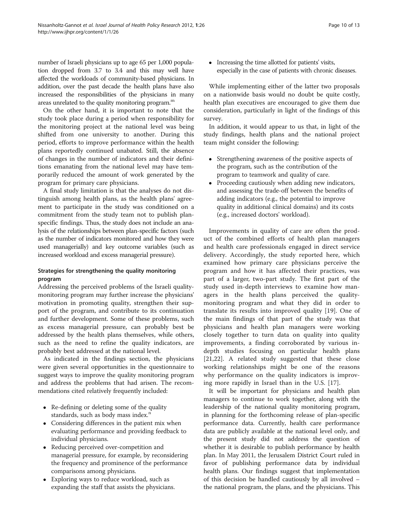number of Israeli physicians up to age 65 per 1,000 population dropped from 3.7 to 3.4 and this may well have affected the workloads of community-based physicians. In addition, over the past decade the health plans have also increased the responsibilities of the physicians in many areas unrelated to the quality monitoring program.<sup>m</sup>

On the other hand, it is important to note that the study took place during a period when responsibility for the monitoring project at the national level was being shifted from one university to another. During this period, efforts to improve performance within the health plans reportedly continued unabated. Still, the absence of changes in the number of indicators and their definitions emanating from the national level may have temporarily reduced the amount of work generated by the program for primary care physicians.

A final study limitation is that the analyses do not distinguish among health plans, as the health plans' agreement to participate in the study was conditioned on a commitment from the study team not to publish planspecific findings. Thus, the study does not include an analysis of the relationships between plan-specific factors (such as the number of indicators monitored and how they were used managerially) and key outcome variables (such as increased workload and excess managerial pressure).

#### Strategies for strengthening the quality monitoring program

Addressing the perceived problems of the Israeli qualitymonitoring program may further increase the physicians' motivation in promoting quality, strengthen their support of the program, and contribute to its continuation and further development. Some of these problems, such as excess managerial pressure, can probably best be addressed by the health plans themselves, while others, such as the need to refine the quality indicators, are probably best addressed at the national level.

As indicated in the findings section, the physicians were given several opportunities in the questionnaire to suggest ways to improve the quality monitoring program and address the problems that had arisen. The recommendations cited relatively frequently included:

- Re-defining or deleting some of the quality standards, such as body mass index.<sup>n</sup>
- Considering differences in the patient mix when evaluating performance and providing feedback to individual physicians.
- Reducing perceived over-competition and managerial pressure, for example, by reconsidering the frequency and prominence of the performance comparisons among physicians.
- Exploring ways to reduce workload, such as expanding the staff that assists the physicians.

• Increasing the time allotted for patients' visits, especially in the case of patients with chronic diseases.

While implementing either of the latter two proposals on a nationwide basis would no doubt be quite costly, health plan executives are encouraged to give them due consideration, particularly in light of the findings of this survey.

In addition, it would appear to us that, in light of the study findings, health plans and the national project team might consider the following:

- Strengthening awareness of the positive aspects of the program, such as the contribution of the program to teamwork and quality of care.
- Proceeding cautiously when adding new indicators, and assessing the trade-off between the benefits of adding indicators (e.g., the potential to improve quality in additional clinical domains) and its costs (e.g., increased doctors' workload).

Improvements in quality of care are often the product of the combined efforts of health plan managers and health care professionals engaged in direct service delivery. Accordingly, the study reported here, which examined how primary care physicians perceive the program and how it has affected their practices, was part of a larger, two-part study. The first part of the study used in-depth interviews to examine how managers in the health plans perceived the qualitymonitoring program and what they did in order to translate its results into improved quality [\[19](#page-12-0)]. One of the main findings of that part of the study was that physicians and health plan managers were working closely together to turn data on quality into quality improvements, a finding corroborated by various indepth studies focusing on particular health plans [[21,22](#page-12-0)]. A related study suggested that these close working relationships might be one of the reasons why performance on the quality indicators is improving more rapidly in Israel than in the U.S. [\[17](#page-12-0)].

It will be important for physicians and health plan managers to continue to work together, along with the leadership of the national quality monitoring program, in planning for the forthcoming release of plan-specific performance data. Currently, health care performance data are publicly available at the national level only, and the present study did not address the question of whether it is desirable to publish performance by health plan. In May 2011, the Jerusalem District Court ruled in favor of publishing performance data by individual health plans. Our findings suggest that implementation of this decision be handled cautiously by all involved – the national program, the plans, and the physicians. This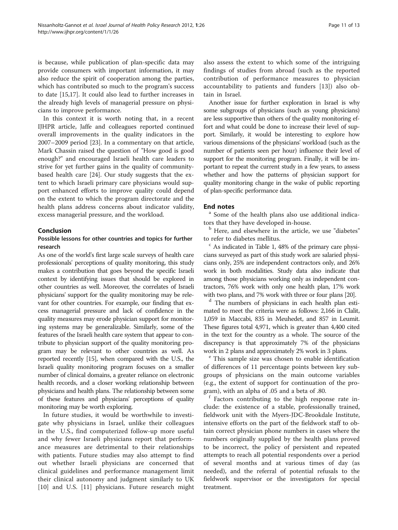is because, while publication of plan-specific data may provide consumers with important information, it may also reduce the spirit of cooperation among the parties, which has contributed so much to the program's success to date [\[15,17](#page-12-0)]. It could also lead to further increases in the already high levels of managerial pressure on physicians to improve performance.

In this context it is worth noting that, in a recent IJHPR article, Jaffe and colleagues reported continued overall improvements in the quality indicators in the 2007–2009 period [[23\]](#page-12-0). In a commentary on that article, Mark Chassin raised the question of "How good is good enough?" and encouraged Israeli health care leaders to strive for yet further gains in the quality of communitybased health care [\[24\]](#page-12-0). Our study suggests that the extent to which Israeli primary care physicians would support enhanced efforts to improve quality could depend on the extent to which the program directorate and the health plans address concerns about indicator validity, excess managerial pressure, and the workload.

#### Conclusion

#### Possible lessons for other countries and topics for further research

As one of the world's first large scale surveys of health care professionals' perceptions of quality monitoring, this study makes a contribution that goes beyond the specific Israeli context by identifying issues that should be explored in other countries as well. Moreover, the correlates of Israeli physicians' support for the quality monitoring may be relevant for other countries. For example, our finding that excess managerial pressure and lack of confidence in the quality measures may erode physician support for monitoring systems may be generalizable. Similarly, some of the features of the Israeli health care system that appear to contribute to physician support of the quality monitoring program may be relevant to other countries as well. As reported recently [\[15\]](#page-12-0), when compared with the U.S., the Israeli quality monitoring program focuses on a smaller number of clinical domains, a greater reliance on electronic health records, and a closer working relationship between physicians and health plans. The relationship between some of these features and physicians' perceptions of quality monitoring may be worth exploring.

In future studies, it would be worthwhile to investigate why physicians in Israel, unlike their colleagues in the U.S., find computerized follow-up more useful and why fewer Israeli physicians report that performance measures are detrimental to their relationships with patients. Future studies may also attempt to find out whether Israeli physicians are concerned that clinical guidelines and performance management limit their clinical autonomy and judgment similarly to UK [[10\]](#page-12-0) and U.S. [\[11\]](#page-12-0) physicians. Future research might also assess the extent to which some of the intriguing findings of studies from abroad (such as the reported contribution of performance measures to physician accountability to patients and funders [\[13](#page-12-0)]) also obtain in Israel.

Another issue for further exploration in Israel is why some subgroups of physicians (such as young physicians) are less supportive than others of the quality monitoring effort and what could be done to increase their level of support. Similarly, it would be interesting to explore how various dimensions of the physicians' workload (such as the number of patients seen per hour) influence their level of support for the monitoring program. Finally, it will be important to repeat the current study in a few years, to assess whether and how the patterns of physician support for quality monitoring change in the wake of public reporting of plan-specific performance data.

**End notes**<br><sup>a</sup> Some of the health plans also use additional indicators that they have developed in-house.

<sup>b</sup> Here, and elsewhere in the article, we use "diabetes" to refer to diabetes mellitus.<br> $\frac{c}{\lambda}$  As indicated in Table [1](#page-3-0), 48% of the primary care physi-

cians surveyed as part of this study work are salaried physicians only, 25% are independent contractors only, and 26% work in both modalities. Study data also indicate that among those physicians working only as independent contractors, 76% work with only one health plan, 17% work with two plans, and 7% work with three or four plans [\[20](#page-12-0)].

<sup>d</sup> The numbers of physicians in each health plan estimated to meet the criteria were as follows: 2,166 in Clalit, 1,059 in Maccabi, 835 in Meuhedet, and 857 in Leumit. These figures total 4,971, which is greater than 4,400 cited in the text for the country as a whole. The source of the discrepancy is that approximately 7% of the physicians

work in 2 plans and approximately 2% work in 3 plans.<br><sup>e</sup> This sample size was chosen to enable identification of differences of 11 percentage points between key subgroups of physicians on the main outcome variables (e.g., the extent of support for continuation of the program), with an alpha of .05 and a beta of .80.

<sup>f</sup> Factors contributing to the high response rate include: the existence of a stable, professionally trained, fieldwork unit with the Myers-JDC-Brookdale Institute, intensive efforts on the part of the fieldwork staff to obtain correct physician phone numbers in cases where the numbers originally supplied by the health plans proved to be incorrect, the policy of persistent and repeated attempts to reach all potential respondents over a period of several months and at various times of day (as needed), and the referral of potential refusals to the fieldwork supervisor or the investigators for special treatment.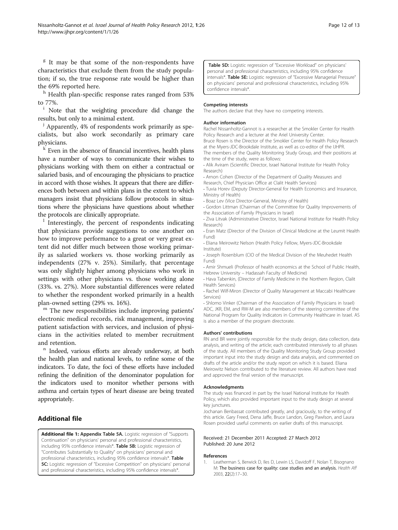<span id="page-11-0"></span><sup>g</sup> It may be that some of the non-respondents have characteristics that exclude them from the study population; if so, the true response rate would be higher than the 69% reported here.

<sup>h</sup> Health plan-specific response rates ranged from 53% to 77%.<br> $\frac{1}{1}$  Note that the weighting procedure did change the

results, but only to a minimal extent.

<sup>j</sup> Apparently, 4% of respondents work primarily as specialists, but also work secondarily as primary care physicians.

 $k$  Even in the absence of financial incentives, health plans have a number of ways to communicate their wishes to physicians working with them on either a contractual or salaried basis, and of encouraging the physicians to practice in accord with those wishes. It appears that there are differences both between and within plans in the extent to which managers insist that physicians follow protocols in situations where the physicians have questions about whether the protocols are clinically appropriate.

 $\frac{1}{1}$  Interestingly, the percent of respondents indicating that physicians provide suggestions to one another on how to improve performance to a great or very great extent did not differ much between those working primarily as salaried workers vs. those working primarily as independents (27% v. 25%). Similarly, that percentage was only slightly higher among physicians who work in settings with other physicians vs. those working alone (33%. vs. 27%). More substantial differences were related to whether the respondent worked primarily in a health plan-owned setting (29% vs. 16%).<br><sup>m</sup> The new responsibilities include improving patients'

electronic medical records, risk management, improving patient satisfaction with services, and inclusion of physicians in the activities related to member recruitment

and retention.<br><sup>n</sup> Indeed, various efforts are already underway, at both the health plan and national levels, to refine some of the indicators. To date, the foci of these efforts have included refining the definition of the denominator population for the indicators used to monitor whether persons with asthma and certain types of heart disease are being treated appropriately.

#### Additional file

[Additional file 1:](http://www.biomedcentral.com/content/supplementary/2045-4015-1-26-S1.doc) Appendix Table 5A. Logistic regression of "Supports Continuation" on physicians' personal and professional characteristics, including 95% confidence intervals\*. Table 5B: Logistic regression of "Contributes Substantially to Quality" on physicians' personal and professional characteristics, including 95% confidence intervals\*. Table **5C:** Logistic regression of "Excessive Competition" on physicians' personal and professional characteristics, including 95% confidence intervals\*.

Table 5D: Logistic regression of "Excessive Workload" on physicians' personal and professional characteristics, including 95% confidence intervals\*. Table 5E: Logistic regression of "Excessive Managerial Pressure" on physicians' personal and professional characteristics, including 95% confidence intervals\*.

#### Competing interests

The authors declare that they have no competing interests.

#### Author information

Rachel Nissanholtz-Gannot is a researcher at the Smokler Center for Health Policy Research and a lecturer at the Ariel University Center.

Bruce Rosen is the Director of the Smokler Center for Health Policy Research at the Myers-JDC-Brookdale Institute, as well as co-editor of the IJHPR. The members of the Quality Monitoring Study Group, and their positions at

the time of the study, were as follows:

• Alik Aviram (Scientific Director, Israel National Institute for Health Policy Research)

• Arnon Cohen (Director of the Department of Quality Measures and Research, Chief Physician Office at Clalit Health Services)

• Tuvia Horev (Deputy Director-General for Health Economics and Insurance, Ministry of Health)

• Boaz Lev (Vice Director-General, Ministry of Health)

• Gordon Littman (Chairman of the Committee for Quality Improvements of the Association of Family Physicians in Israel)

• Ziva Litvak (Administrative Director, Israel National Institute for Health Policy Research)

• Eran Matz (Director of the Division of Clinical Medicine at the Leumit Health Fund)

• Eliana Meirowitz Nelson (Health Policy Fellow, Myers-JDC-Brookdale Institute)

• Joseph Rosenblum (CIO of the Medical Division of the Meuhedet Health Fund)

• Amir Shmueli (Professor of health economics at the School of Public Health, Hebrew University – Hadassah Faculty of Medicine)

• Hava Tabenkin, (Director of Family Medicine in the Northern Region, Clalit Health Services)

• Rachel Wilf-Miron (Director of Quality Management at Maccabi Healthcare Services)

• Shlomo Vinker (Chairman of the Association of Family Physicians in Israel) ADC, JKR, EM, and RW-M are also members of the steering committee of the National Program for Quality Indicators in Community Healthcare in Israel. AS is also a member of the program directorate.

#### Authors' contributions

RN and BR were jointly responsible for the study design, data collection, data analysis, and writing of the article; each contributed intensively to all phases of the study. All members of the Quality Monitoring Study Group provided important input into the study design and data analysis, and commented on drafts of the article and/or the study report on which it is based. Eliana Meirowitz Nelson contributed to the literature review. All authors have read and approved the final version of the manuscript.

#### Acknowledgments

The study was financed in part by the Israel National Institute for Health Policy, which also provided important input to the study design at several key junctures.

Jochanan Benbassat contributed greatly, and graciously, to the writing of this article. Gary Freed, Dena Jaffe, Bruce Landon, Greg Pawlson, and Laura Rosen provided useful comments on earlier drafts of this manuscript.

#### Received: 21 December 2011 Accepted: 27 March 2012 Published: 20 June 2012

#### References

Leatherman S, Berwick D, Iles D, Lewin LS, Davidoff F, Nolan T, Bisognano M: The business case for quality: case studies and an analysis. Health Aff 2003, 22(2):17–30.